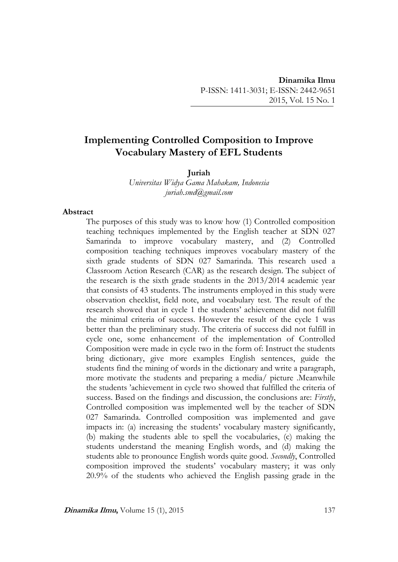# **Implementing Controlled Composition to Improve Vocabulary Mastery of EFL Students**

#### **Juriah**

*Universitas Widya Gama Mahakam, Indonesia juriah.smd@gmail.com*

#### **Abstract**

The purposes of this study was to know how (1) Controlled composition teaching techniques implemented by the English teacher at SDN 027 Samarinda to improve vocabulary mastery, and (2) Controlled composition teaching techniques improves vocabulary mastery of the sixth grade students of SDN 027 Samarinda. This research used a Classroom Action Research (CAR) as the research design. The subject of the research is the sixth grade students in the 2013/2014 academic year that consists of 43 students. The instruments employed in this study were observation checklist, field note, and vocabulary test. The result of the research showed that in cycle 1 the students' achievement did not fulfill the minimal criteria of success. However the result of the cycle 1 was better than the preliminary study. The criteria of success did not fulfill in cycle one, some enhancement of the implementation of Controlled Composition were made in cycle two in the form of: Instruct the students bring dictionary, give more examples English sentences, guide the students find the mining of words in the dictionary and write a paragraph, more motivate the students and preparing a media/ picture .Meanwhile the students 'achievement in cycle two showed that fulfilled the criteria of success. Based on the findings and discussion, the conclusions are: *Firstly*, Controlled composition was implemented well by the teacher of SDN 027 Samarinda. Controlled composition was implemented and gave impacts in: (a) increasing the students' vocabulary mastery significantly, (b) making the students able to spell the vocabularies, (c) making the students understand the meaning English words, and (d) making the students able to pronounce English words quite good. *Secondly*, Controlled composition improved the students' vocabulary mastery; it was only 20.9% of the students who achieved the English passing grade in the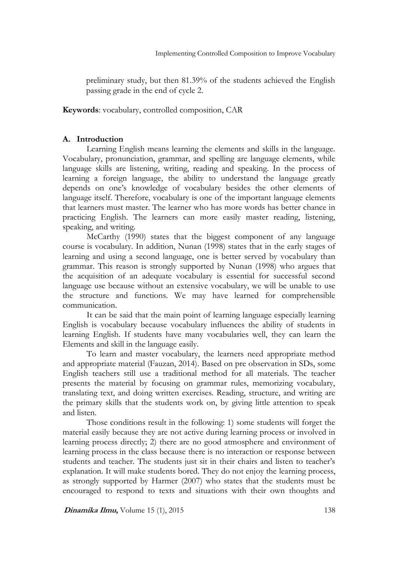preliminary study, but then 81.39% of the students achieved the English passing grade in the end of cycle 2.

## **Keywords**: vocabulary, controlled composition, CAR

## **A. Introduction**

Learning English means learning the elements and skills in the language. Vocabulary, pronunciation, grammar, and spelling are language elements, while language skills are listening, writing, reading and speaking. In the process of learning a foreign language, the ability to understand the language greatly depends on one's knowledge of vocabulary besides the other elements of language itself. Therefore, vocabulary is one of the important language elements that learners must master. The learner who has more words has better chance in practicing English. The learners can more easily master reading, listening, speaking, and writing.

McCarthy (1990) states that the biggest component of any language course is vocabulary. In addition, Nunan (1998) states that in the early stages of learning and using a second language, one is better served by vocabulary than grammar. This reason is strongly supported by Nunan (1998) who argues that the acquisition of an adequate vocabulary is essential for successful second language use because without an extensive vocabulary, we will be unable to use the structure and functions. We may have learned for comprehensible communication.

It can be said that the main point of learning language especially learning English is vocabulary because vocabulary influences the ability of students in learning English. If students have many vocabularies well, they can learn the Elements and skill in the language easily.

To learn and master vocabulary, the learners need appropriate method and appropriate material (Fauzan, 2014). Based on pre observation in SDs, some English teachers still use a traditional method for all materials. The teacher presents the material by focusing on grammar rules, memorizing vocabulary, translating text, and doing written exercises. Reading, structure, and writing are the primary skills that the students work on, by giving little attention to speak and listen.

Those conditions result in the following: 1) some students will forget the material easily because they are not active during learning process or involved in learning process directly; 2) there are no good atmosphere and environment of learning process in the class because there is no interaction or response between students and teacher. The students just sit in their chairs and listen to teacher's explanation. It will make students bored. They do not enjoy the learning process, as strongly supported by Harmer (2007) who states that the students must be encouraged to respond to texts and situations with their own thoughts and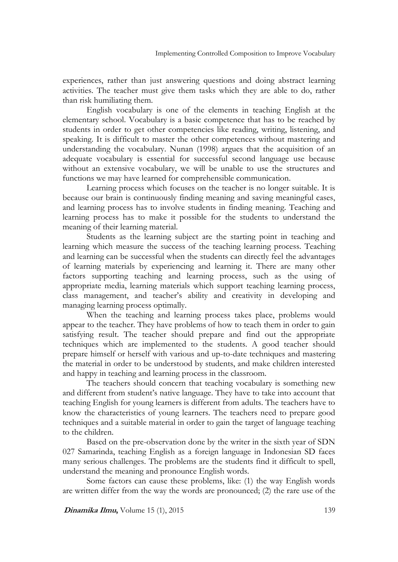experiences, rather than just answering questions and doing abstract learning activities. The teacher must give them tasks which they are able to do, rather than risk humiliating them.

English vocabulary is one of the elements in teaching English at the elementary school. Vocabulary is a basic competence that has to be reached by students in order to get other competencies like reading, writing, listening, and speaking. It is difficult to master the other competences without mastering and understanding the vocabulary. Nunan (1998) argues that the acquisition of an adequate vocabulary is essential for successful second language use because without an extensive vocabulary, we will be unable to use the structures and functions we may have learned for comprehensible communication.

Learning process which focuses on the teacher is no longer suitable. It is because our brain is continuously finding meaning and saving meaningful cases, and learning process has to involve students in finding meaning. Teaching and learning process has to make it possible for the students to understand the meaning of their learning material.

Students as the learning subject are the starting point in teaching and learning which measure the success of the teaching learning process. Teaching and learning can be successful when the students can directly feel the advantages of learning materials by experiencing and learning it. There are many other factors supporting teaching and learning process, such as the using of appropriate media, learning materials which support teaching learning process, class management, and teacher's ability and creativity in developing and managing learning process optimally.

When the teaching and learning process takes place, problems would appear to the teacher. They have problems of how to teach them in order to gain satisfying result. The teacher should prepare and find out the appropriate techniques which are implemented to the students. A good teacher should prepare himself or herself with various and up-to-date techniques and mastering the material in order to be understood by students, and make children interested and happy in teaching and learning process in the classroom.

The teachers should concern that teaching vocabulary is something new and different from student's native language. They have to take into account that teaching English for young learners is different from adults. The teachers have to know the characteristics of young learners. The teachers need to prepare good techniques and a suitable material in order to gain the target of language teaching to the children.

Based on the pre-observation done by the writer in the sixth year of SDN 027 Samarinda, teaching English as a foreign language in Indonesian SD faces many serious challenges. The problems are the students find it difficult to spell, understand the meaning and pronounce English words.

Some factors can cause these problems, like: (1) the way English words are written differ from the way the words are pronounced; (2) the rare use of the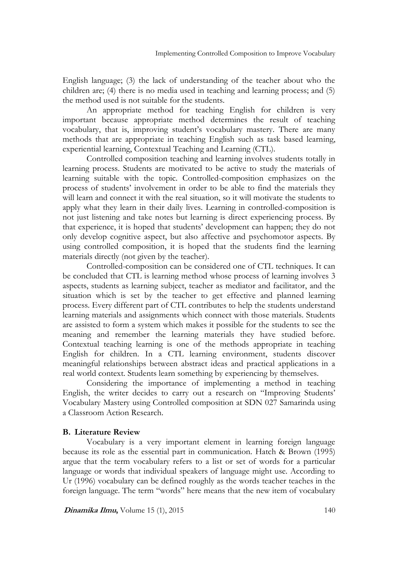English language; (3) the lack of understanding of the teacher about who the children are; (4) there is no media used in teaching and learning process; and (5) the method used is not suitable for the students.

An appropriate method for teaching English for children is very important because appropriate method determines the result of teaching vocabulary, that is, improving student's vocabulary mastery. There are many methods that are appropriate in teaching English such as task based learning, experiential learning, Contextual Teaching and Learning (CTL).

Controlled composition teaching and learning involves students totally in learning process. Students are motivated to be active to study the materials of learning suitable with the topic. Controlled-composition emphasizes on the process of students' involvement in order to be able to find the materials they will learn and connect it with the real situation, so it will motivate the students to apply what they learn in their daily lives. Learning in controlled-composition is not just listening and take notes but learning is direct experiencing process. By that experience, it is hoped that students' development can happen; they do not only develop cognitive aspect, but also affective and psychomotor aspects. By using controlled composition, it is hoped that the students find the learning materials directly (not given by the teacher).

Controlled-composition can be considered one of CTL techniques. It can be concluded that CTL is learning method whose process of learning involves 3 aspects, students as learning subject, teacher as mediator and facilitator, and the situation which is set by the teacher to get effective and planned learning process. Every different part of CTL contributes to help the students understand learning materials and assignments which connect with those materials. Students are assisted to form a system which makes it possible for the students to see the meaning and remember the learning materials they have studied before. Contextual teaching learning is one of the methods appropriate in teaching English for children. In a CTL learning environment, students discover meaningful relationships between abstract ideas and practical applications in a real world context. Students learn something by experiencing by themselves.

Considering the importance of implementing a method in teaching English, the writer decides to carry out a research on "Improving Students' Vocabulary Mastery using Controlled composition at SDN 027 Samarinda using a Classroom Action Research.

### **B. Literature Review**

Vocabulary is a very important element in learning foreign language because its role as the essential part in communication. Hatch & Brown (1995) argue that the term vocabulary refers to a list or set of words for a particular language or words that individual speakers of language might use. According to Ur (1996) vocabulary can be defined roughly as the words teacher teaches in the foreign language. The term "words" here means that the new item of vocabulary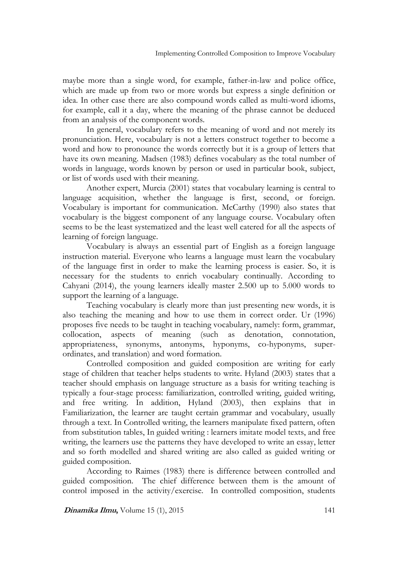maybe more than a single word, for example, father-in-law and police office, which are made up from two or more words but express a single definition or idea. In other case there are also compound words called as multi-word idioms, for example, call it a day, where the meaning of the phrase cannot be deduced from an analysis of the component words.

In general, vocabulary refers to the meaning of word and not merely its pronunciation. Here, vocabulary is not a letters construct together to become a word and how to pronounce the words correctly but it is a group of letters that have its own meaning. Madsen (1983) defines vocabulary as the total number of words in language, words known by person or used in particular book, subject, or list of words used with their meaning.

Another expert, Murcia (2001) states that vocabulary learning is central to language acquisition, whether the language is first, second, or foreign. Vocabulary is important for communication. McCarthy (1990) also states that vocabulary is the biggest component of any language course. Vocabulary often seems to be the least systematized and the least well catered for all the aspects of learning of foreign language.

Vocabulary is always an essential part of English as a foreign language instruction material. Everyone who learns a language must learn the vocabulary of the language first in order to make the learning process is easier. So, it is necessary for the students to enrich vocabulary continually. According to Cahyani (2014), the young learners ideally master 2.500 up to 5.000 words to support the learning of a language.

Teaching vocabulary is clearly more than just presenting new words, it is also teaching the meaning and how to use them in correct order. Ur (1996) proposes five needs to be taught in teaching vocabulary, namely: form, grammar, collocation, aspects of meaning (such as denotation, connotation, appropriateness, synonyms, antonyms, hyponyms, co-hyponyms, superordinates, and translation) and word formation.

Controlled composition and guided composition are writing for early stage of children that teacher helps students to write. Hyland (2003) states that a teacher should emphasis on language structure as a basis for writing teaching is typically a four-stage process: familiarization, controlled writing, guided writing, and free writing. In addition, Hyland (2003), then explains that in Familiarization, the learner are taught certain grammar and vocabulary, usually through a text. In Controlled writing, the learners manipulate fixed pattern, often from substitution tables, In guided writing : learners imitate model texts, and free writing, the learners use the patterns they have developed to write an essay, letter and so forth modelled and shared writing are also called as guided writing or guided composition.

According to Raimes (1983) there is difference between controlled and guided composition. The chief difference between them is the amount of control imposed in the activity/exercise. In controlled composition, students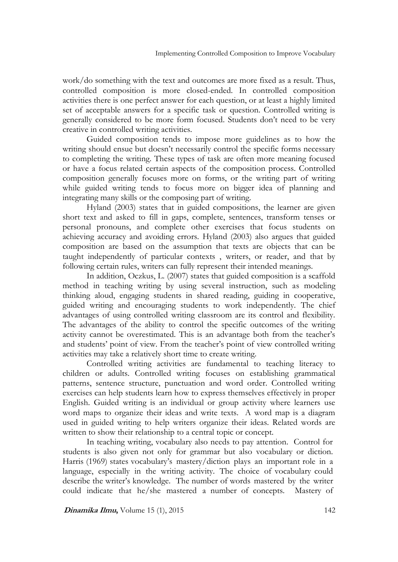work/do something with the text and outcomes are more fixed as a result. Thus, controlled composition is more closed-ended. In controlled composition activities there is one perfect answer for each question, or at least a highly limited set of acceptable answers for a specific task or question. Controlled writing is generally considered to be more form focused. Students don't need to be very creative in controlled writing activities.

Guided composition tends to impose more guidelines as to how the writing should ensue but doesn't necessarily control the specific forms necessary to completing the writing. These types of task are often more meaning focused or have a focus related certain aspects of the composition process. Controlled composition generally focuses more on forms, or the writing part of writing while guided writing tends to focus more on bigger idea of planning and integrating many skills or the composing part of writing.

Hyland (2003) states that in guided compositions, the learner are given short text and asked to fill in gaps, complete, sentences, transform tenses or personal pronouns, and complete other exercises that focus students on achieving accuracy and avoiding errors. Hyland (2003) also argues that guided composition are based on the assumption that texts are objects that can be taught independently of particular contexts , writers, or reader, and that by following certain rules, writers can fully represent their intended meanings.

In addition, Oczkus, L. (2007) states that guided composition is a scaffold method in teaching writing by using several instruction, such as modeling thinking aloud, engaging students in shared reading, guiding in cooperative, guided writing and encouraging students to work independently. The chief advantages of using controlled writing classroom are its control and flexibility. The advantages of the ability to control the specific outcomes of the writing activity cannot be overestimated. This is an advantage both from the teacher's and students' point of view. From the teacher's point of view controlled writing activities may take a relatively short time to create writing.

Controlled writing activities are fundamental to teaching literacy to children or adults. Controlled writing focuses on establishing grammatical patterns, sentence structure, punctuation and word order. Controlled writing exercises can help students learn how to express themselves effectively in proper English. Guided writing is an individual or group activity where learners use word maps to organize their ideas and write texts. A word map is a diagram used in guided writing to help writers organize their ideas. Related words are written to show their relationship to a central topic or concept.

In teaching writing, vocabulary also needs to pay attention. Control for students is also given not only for grammar but also vocabulary or diction. Harris (1969) states vocabulary's mastery/diction plays an important role in a language, especially in the writing activity. The choice of vocabulary could describe the writer's knowledge. The number of words mastered by the writer could indicate that he/she mastered a number of concepts. Mastery of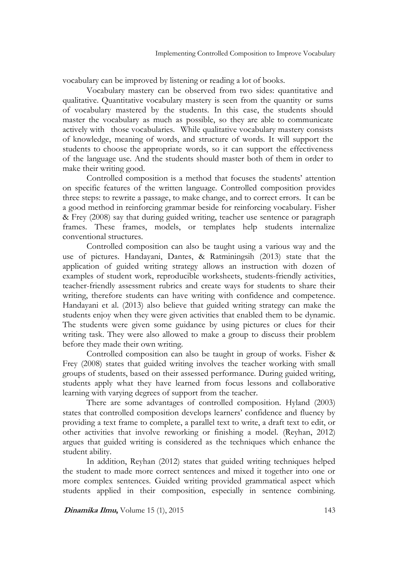vocabulary can be improved by listening or reading a lot of books.

Vocabulary mastery can be observed from two sides: quantitative and qualitative. Quantitative vocabulary mastery is seen from the quantity or sums of vocabulary mastered by the students. In this case, the students should master the vocabulary as much as possible, so they are able to communicate actively with those vocabularies. While qualitative vocabulary mastery consists of knowledge, meaning of words, and structure of words. It will support the students to choose the appropriate words, so it can support the effectiveness of the language use. And the students should master both of them in order to make their writing good.

Controlled composition is a method that focuses the students' attention on specific features of the written language. Controlled composition provides three steps: to rewrite a passage, to make change, and to correct errors. It can be a good method in reinforcing grammar beside for reinforcing vocabulary. Fisher & Frey (2008) say that during guided writing, teacher use sentence or paragraph frames. These frames, models, or templates help students internalize conventional structures.

Controlled composition can also be taught using a various way and the use of pictures. Handayani, Dantes, & Ratminingsih (2013) state that the application of guided writing strategy allows an instruction with dozen of examples of student work, reproducible worksheets, students-friendly activities, teacher-friendly assessment rubrics and create ways for students to share their writing, therefore students can have writing with confidence and competence. Handayani et al. (2013) also believe that guided writing strategy can make the students enjoy when they were given activities that enabled them to be dynamic. The students were given some guidance by using pictures or clues for their writing task. They were also allowed to make a group to discuss their problem before they made their own writing.

Controlled composition can also be taught in group of works. Fisher & Frey (2008) states that guided writing involves the teacher working with small groups of students, based on their assessed performance. During guided writing, students apply what they have learned from focus lessons and collaborative learning with varying degrees of support from the teacher.

There are some advantages of controlled composition. Hyland (2003) states that controlled composition develops learners' confidence and fluency by providing a text frame to complete, a parallel text to write, a draft text to edit, or other activities that involve reworking or finishing a model. (Reyhan, 2012) argues that guided writing is considered as the techniques which enhance the student ability.

In addition, Reyhan (2012) states that guided writing techniques helped the student to made more correct sentences and mixed it together into one or more complex sentences. Guided writing provided grammatical aspect which students applied in their composition, especially in sentence combining.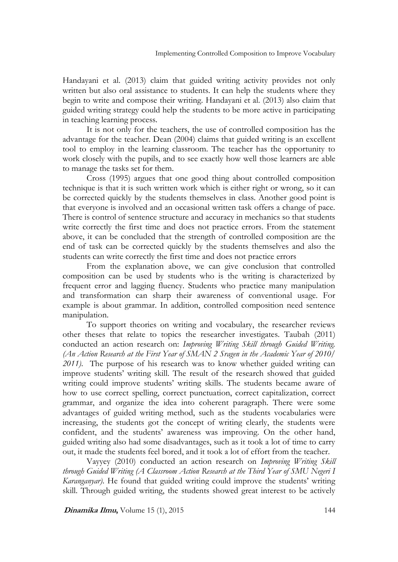Handayani et al. (2013) claim that guided writing activity provides not only written but also oral assistance to students. It can help the students where they begin to write and compose their writing. Handayani et al. (2013) also claim that guided writing strategy could help the students to be more active in participating in teaching learning process.

It is not only for the teachers, the use of controlled composition has the advantage for the teacher. Dean (2004) claims that guided writing is an excellent tool to employ in the learning classroom. The teacher has the opportunity to work closely with the pupils, and to see exactly how well those learners are able to manage the tasks set for them.

Cross (1995) argues that one good thing about controlled composition technique is that it is such written work which is either right or wrong, so it can be corrected quickly by the students themselves in class. Another good point is that everyone is involved and an occasional written task offers a change of pace. There is control of sentence structure and accuracy in mechanics so that students write correctly the first time and does not practice errors. From the statement above, it can be concluded that the strength of controlled composition are the end of task can be corrected quickly by the students themselves and also the students can write correctly the first time and does not practice errors

From the explanation above, we can give conclusion that controlled composition can be used by students who is the writing is characterized by frequent error and lagging fluency. Students who practice many manipulation and transformation can sharp their awareness of conventional usage. For example is about grammar. In addition, controlled composition need sentence manipulation.

To support theories on writing and vocabulary, the researcher reviews other theses that relate to topics the researcher investigates. Taubah (2011) conducted an action research on: *Improving Writing Skill through Guided Writing. (An Action Research at the First Year of SMAN 2 Sragen in the Academic Year of 2010/ 2011)*. The purpose of his research was to know whether guided writing can improve students' writing skill. The result of the research showed that guided writing could improve students' writing skills. The students became aware of how to use correct spelling, correct punctuation, correct capitalization, correct grammar, and organize the idea into coherent paragraph. There were some advantages of guided writing method, such as the students vocabularies were increasing, the students got the concept of writing clearly, the students were confident, and the students' awareness was improving. On the other hand, guided writing also had some disadvantages, such as it took a lot of time to carry out, it made the students feel bored, and it took a lot of effort from the teacher.

Vayyey (2010) conducted an action research on *Improving Writing Skill through Guided Writing (A Classroom Action Research at the Third Year of SMU Negeri I Karanganyar)*. He found that guided writing could improve the students' writing skill. Through guided writing, the students showed great interest to be actively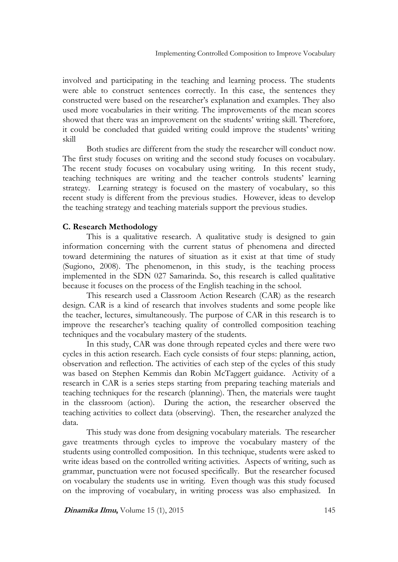involved and participating in the teaching and learning process. The students were able to construct sentences correctly. In this case, the sentences they constructed were based on the researcher's explanation and examples. They also used more vocabularies in their writing. The improvements of the mean scores showed that there was an improvement on the students' writing skill. Therefore, it could be concluded that guided writing could improve the students' writing skill

Both studies are different from the study the researcher will conduct now. The first study focuses on writing and the second study focuses on vocabulary. The recent study focuses on vocabulary using writing. In this recent study, teaching techniques are writing and the teacher controls students' learning strategy. Learning strategy is focused on the mastery of vocabulary, so this recent study is different from the previous studies. However, ideas to develop the teaching strategy and teaching materials support the previous studies.

## **C. Research Methodology**

This is a qualitative research. A qualitative study is designed to gain information concerning with the current status of phenomena and directed toward determining the natures of situation as it exist at that time of study (Sugiono, 2008). The phenomenon, in this study, is the teaching process implemented in the SDN 027 Samarinda. So, this research is called qualitative because it focuses on the process of the English teaching in the school.

This research used a Classroom Action Research (CAR) as the research design. CAR is a kind of research that involves students and some people like the teacher, lectures, simultaneously. The purpose of CAR in this research is to improve the researcher's teaching quality of controlled composition teaching techniques and the vocabulary mastery of the students.

In this study, CAR was done through repeated cycles and there were two cycles in this action research. Each cycle consists of four steps: planning, action, observation and reflection. The activities of each step of the cycles of this study was based on Stephen Kemmis dan Robin McTaggert guidance. Activity of a research in CAR is a series steps starting from preparing teaching materials and teaching techniques for the research (planning). Then, the materials were taught in the classroom (action). During the action, the researcher observed the teaching activities to collect data (observing). Then, the researcher analyzed the data.

This study was done from designing vocabulary materials. The researcher gave treatments through cycles to improve the vocabulary mastery of the students using controlled composition. In this technique, students were asked to write ideas based on the controlled writing activities. Aspects of writing, such as grammar, punctuation were not focused specifically. But the researcher focused on vocabulary the students use in writing. Even though was this study focused on the improving of vocabulary, in writing process was also emphasized. In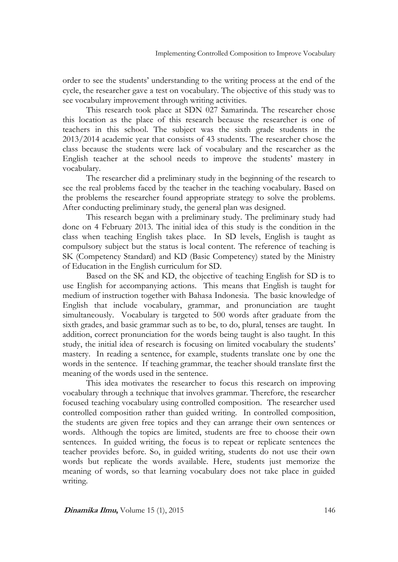order to see the students' understanding to the writing process at the end of the cycle, the researcher gave a test on vocabulary. The objective of this study was to see vocabulary improvement through writing activities.

This research took place at SDN 027 Samarinda. The researcher chose this location as the place of this research because the researcher is one of teachers in this school. The subject was the sixth grade students in the 2013/2014 academic year that consists of 43 students. The researcher chose the class because the students were lack of vocabulary and the researcher as the English teacher at the school needs to improve the students' mastery in vocabulary.

The researcher did a preliminary study in the beginning of the research to see the real problems faced by the teacher in the teaching vocabulary. Based on the problems the researcher found appropriate strategy to solve the problems. After conducting preliminary study, the general plan was designed.

This research began with a preliminary study. The preliminary study had done on 4 February 2013. The initial idea of this study is the condition in the class when teaching English takes place. In SD levels, English is taught as compulsory subject but the status is local content. The reference of teaching is SK (Competency Standard) and KD (Basic Competency) stated by the Ministry of Education in the English curriculum for SD.

Based on the SK and KD, the objective of teaching English for SD is to use English for accompanying actions. This means that English is taught for medium of instruction together with Bahasa Indonesia. The basic knowledge of English that include vocabulary, grammar, and pronunciation are taught simultaneously. Vocabulary is targeted to 500 words after graduate from the sixth grades, and basic grammar such as to be, to do, plural, tenses are taught. In addition, correct pronunciation for the words being taught is also taught. In this study, the initial idea of research is focusing on limited vocabulary the students' mastery. In reading a sentence, for example, students translate one by one the words in the sentence. If teaching grammar, the teacher should translate first the meaning of the words used in the sentence.

This idea motivates the researcher to focus this research on improving vocabulary through a technique that involves grammar. Therefore, the researcher focused teaching vocabulary using controlled composition. The researcher used controlled composition rather than guided writing. In controlled composition, the students are given free topics and they can arrange their own sentences or words. Although the topics are limited, students are free to choose their own sentences. In guided writing, the focus is to repeat or replicate sentences the teacher provides before. So, in guided writing, students do not use their own words but replicate the words available. Here, students just memorize the meaning of words, so that learning vocabulary does not take place in guided writing.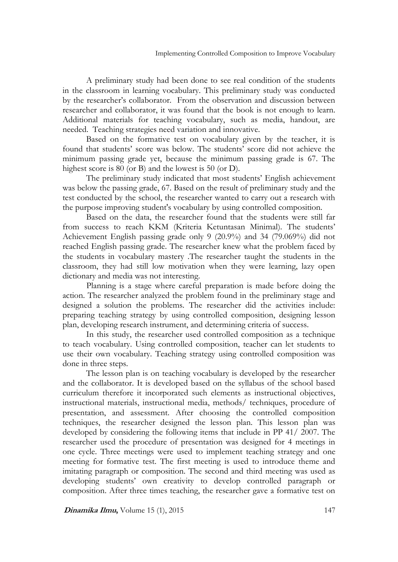A preliminary study had been done to see real condition of the students in the classroom in learning vocabulary. This preliminary study was conducted by the researcher's collaborator. From the observation and discussion between researcher and collaborator, it was found that the book is not enough to learn. Additional materials for teaching vocabulary, such as media, handout, are needed. Teaching strategies need variation and innovative.

Based on the formative test on vocabulary given by the teacher, it is found that students' score was below. The students' score did not achieve the minimum passing grade yet, because the minimum passing grade is 67. The highest score is 80 (or B) and the lowest is 50 (or D).

The preliminary study indicated that most students' English achievement was below the passing grade, 67. Based on the result of preliminary study and the test conducted by the school, the researcher wanted to carry out a research with the purpose improving student's vocabulary by using controlled composition.

Based on the data, the researcher found that the students were still far from success to reach KKM (Kriteria Ketuntasan Minimal). The students' Achievement English passing grade only 9 (20.9%) and 34 (79.069%) did not reached English passing grade. The researcher knew what the problem faced by the students in vocabulary mastery .The researcher taught the students in the classroom, they had still low motivation when they were learning, lazy open dictionary and media was not interesting.

 Planning is a stage where careful preparation is made before doing the action. The researcher analyzed the problem found in the preliminary stage and designed a solution the problems. The researcher did the activities include: preparing teaching strategy by using controlled composition, designing lesson plan, developing research instrument, and determining criteria of success.

In this study, the researcher used controlled composition as a technique to teach vocabulary. Using controlled composition, teacher can let students to use their own vocabulary. Teaching strategy using controlled composition was done in three steps.

The lesson plan is on teaching vocabulary is developed by the researcher and the collaborator. It is developed based on the syllabus of the school based curriculum therefore it incorporated such elements as instructional objectives, instructional materials, instructional media, methods/ techniques, procedure of presentation, and assessment. After choosing the controlled composition techniques, the researcher designed the lesson plan. This lesson plan was developed by considering the following items that include in PP 41/ 2007. The researcher used the procedure of presentation was designed for 4 meetings in one cycle. Three meetings were used to implement teaching strategy and one meeting for formative test. The first meeting is used to introduce theme and imitating paragraph or composition. The second and third meeting was used as developing students' own creativity to develop controlled paragraph or composition. After three times teaching, the researcher gave a formative test on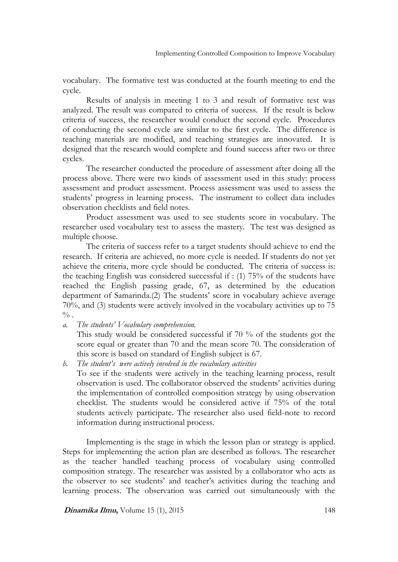vocabulary. The formative test was conducted at the fourth meeting to end the cycle.

Results of analysis in meeting 1 to 3 and result of formative test was analyzed. The result was compared to criteria of success. If the result is below criteria of success, the researcher would conduct the second cycle. Procedures of conducting the second cycle are similar to the first cycle. The difference is teaching materials are modified, and teaching strategies are innovated. It is designed that the research would complete and found success after two or three cycles.

The researcher conducted the procedure of assessment after doing all the process above. There were two kinds of assessment used in this study: process assessment and product assessment. Process assessment was used to assess the students' progress in learning process. The instrument to collect data includes observation checklists and field notes.

Product assessment was used to see students score in vocabulary. The researcher used vocabulary test to assess the mastery. The test was designed as multiple choose.

The criteria of success refer to a target students should achieve to end the research. If criteria are achieved, no more cycle is needed. If students do not yet achieve the criteria, more cycle should be conducted. The criteria of success is: the teaching English was considered successful if : (1) 75% of the students have reached the English passing grade, 67, as determined by the education department of Samarinda.(2) The students' score in vocabulary achieve average 70%, and (3) students were actively involved in the vocabulary activities up to 75  $\frac{0}{6}$  .

*a. The students' Vocabulary comprehension.*

This study would be considered successful if 70 % of the students got the score equal or greater than 70 and the mean score 70. The consideration of this score is based on standard of English subject is 67.

*b. The student's were actively involved in the vocabulary activities* To see if the students were actively in the teaching learning process, result observation is used. The collaborator observed the students' activities during the implementation of controlled composition strategy by using observation checklist. The students would be considered active if 75% of the total students actively participate. The researcher also used field-note to record information during instructional process.

Implementing is the stage in which the lesson plan or strategy is applied. Steps for implementing the action plan are described as follows. The researcher as the teacher handled teaching process of vocabulary using controlled composition strategy. The researcher was assisted by a collaborator who acts as the observer to see students' and teacher's activities during the teaching and learning process. The observation was carried out simultaneously with the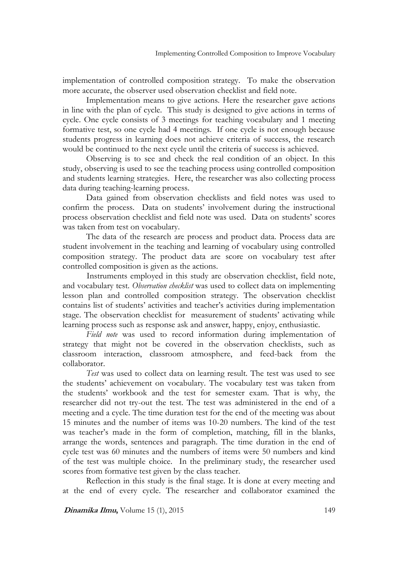implementation of controlled composition strategy. To make the observation more accurate, the observer used observation checklist and field note.

Implementation means to give actions. Here the researcher gave actions in line with the plan of cycle. This study is designed to give actions in terms of cycle. One cycle consists of 3 meetings for teaching vocabulary and 1 meeting formative test, so one cycle had 4 meetings. If one cycle is not enough because students progress in learning does not achieve criteria of success, the research would be continued to the next cycle until the criteria of success is achieved.

Observing is to see and check the real condition of an object. In this study, observing is used to see the teaching process using controlled composition and students learning strategies. Here, the researcher was also collecting process data during teaching-learning process.

Data gained from observation checklists and field notes was used to confirm the process. Data on students' involvement during the instructional process observation checklist and field note was used. Data on students' scores was taken from test on vocabulary.

The data of the research are process and product data. Process data are student involvement in the teaching and learning of vocabulary using controlled composition strategy. The product data are score on vocabulary test after controlled composition is given as the actions.

Instruments employed in this study are observation checklist, field note, and vocabulary test. *Observation checklist* was used to collect data on implementing lesson plan and controlled composition strategy. The observation checklist contains list of students' activities and teacher's activities during implementation stage. The observation checklist for measurement of students' activating while learning process such as response ask and answer, happy, enjoy, enthusiastic.

*Field note* was used to record information during implementation of strategy that might not be covered in the observation checklists, such as classroom interaction, classroom atmosphere, and feed-back from the collaborator.

*Test* was used to collect data on learning result. The test was used to see the students' achievement on vocabulary. The vocabulary test was taken from the students' workbook and the test for semester exam. That is why, the researcher did not try-out the test. The test was administered in the end of a meeting and a cycle. The time duration test for the end of the meeting was about 15 minutes and the number of items was 10-20 numbers. The kind of the test was teacher's made in the form of completion, matching, fill in the blanks, arrange the words, sentences and paragraph. The time duration in the end of cycle test was 60 minutes and the numbers of items were 50 numbers and kind of the test was multiple choice. In the preliminary study, the researcher used scores from formative test given by the class teacher.

Reflection in this study is the final stage. It is done at every meeting and at the end of every cycle. The researcher and collaborator examined the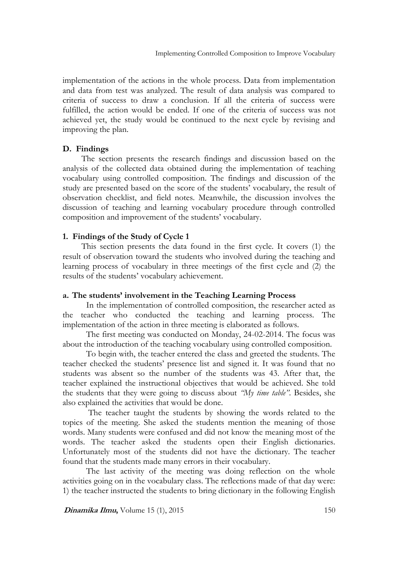implementation of the actions in the whole process. Data from implementation and data from test was analyzed. The result of data analysis was compared to criteria of success to draw a conclusion. If all the criteria of success were fulfilled, the action would be ended. If one of the criteria of success was not achieved yet, the study would be continued to the next cycle by revising and improving the plan.

## **D. Findings**

The section presents the research findings and discussion based on the analysis of the collected data obtained during the implementation of teaching vocabulary using controlled composition. The findings and discussion of the study are presented based on the score of the students' vocabulary, the result of observation checklist, and field notes. Meanwhile, the discussion involves the discussion of teaching and learning vocabulary procedure through controlled composition and improvement of the students' vocabulary.

# **1. Findings of the Study of Cycle 1**

This section presents the data found in the first cycle. It covers (1) the result of observation toward the students who involved during the teaching and learning process of vocabulary in three meetings of the first cycle and (2) the results of the students' vocabulary achievement.

### **a. The students' involvement in the Teaching Learning Process**

In the implementation of controlled composition, the researcher acted as the teacher who conducted the teaching and learning process. The implementation of the action in three meeting is elaborated as follows.

The first meeting was conducted on Monday, 24-02-2014. The focus was about the introduction of the teaching vocabulary using controlled composition.

To begin with, the teacher entered the class and greeted the students. The teacher checked the students' presence list and signed it. It was found that no students was absent so the number of the students was 43. After that, the teacher explained the instructional objectives that would be achieved. She told the students that they were going to discuss about *"My time table"*. Besides, she also explained the activities that would be done.

The teacher taught the students by showing the words related to the topics of the meeting. She asked the students mention the meaning of those words. Many students were confused and did not know the meaning most of the words. The teacher asked the students open their English dictionaries. Unfortunately most of the students did not have the dictionary. The teacher found that the students made many errors in their vocabulary.

The last activity of the meeting was doing reflection on the whole activities going on in the vocabulary class. The reflections made of that day were: 1) the teacher instructed the students to bring dictionary in the following English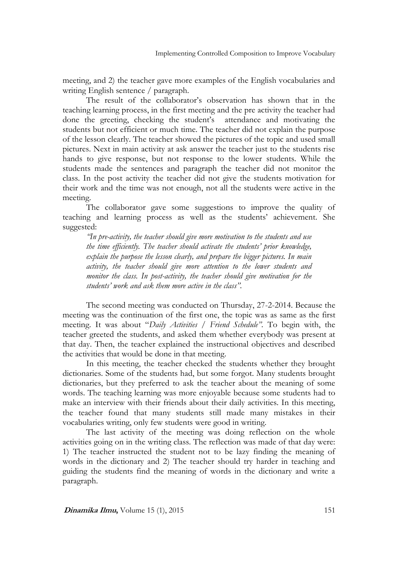meeting, and 2) the teacher gave more examples of the English vocabularies and writing English sentence / paragraph.

The result of the collaborator's observation has shown that in the teaching learning process, in the first meeting and the pre activity the teacher had done the greeting, checking the student's attendance and motivating the students but not efficient or much time. The teacher did not explain the purpose of the lesson clearly. The teacher showed the pictures of the topic and used small pictures. Next in main activity at ask answer the teacher just to the students rise hands to give response, but not response to the lower students. While the students made the sentences and paragraph the teacher did not monitor the class. In the post activity the teacher did not give the students motivation for their work and the time was not enough, not all the students were active in the meeting.

The collaborator gave some suggestions to improve the quality of teaching and learning process as well as the students' achievement. She suggested:

*"In pre-activity, the teacher should give more motivation to the students and use the time efficiently. The teacher should activate the students' prior knowledge, explain the purpose the lesson clearly, and prepare the bigger pictures. In main activity, the teacher should give more attention to the lower students and monitor the class. In post-activity, the teacher should give motivation for the students' work and ask them more active in the class".*

The second meeting was conducted on Thursday, 27-2-2014. Because the meeting was the continuation of the first one, the topic was as same as the first meeting. It was about "*Daily Activities* / *Friend Schedule".* To begin with, the teacher greeted the students, and asked them whether everybody was present at that day. Then, the teacher explained the instructional objectives and described the activities that would be done in that meeting.

In this meeting, the teacher checked the students whether they brought dictionaries. Some of the students had, but some forgot. Many students brought dictionaries, but they preferred to ask the teacher about the meaning of some words. The teaching learning was more enjoyable because some students had to make an interview with their friends about their daily activities. In this meeting, the teacher found that many students still made many mistakes in their vocabularies writing, only few students were good in writing.

The last activity of the meeting was doing reflection on the whole activities going on in the writing class. The reflection was made of that day were: 1) The teacher instructed the student not to be lazy finding the meaning of words in the dictionary and 2) The teacher should try harder in teaching and guiding the students find the meaning of words in the dictionary and write a paragraph.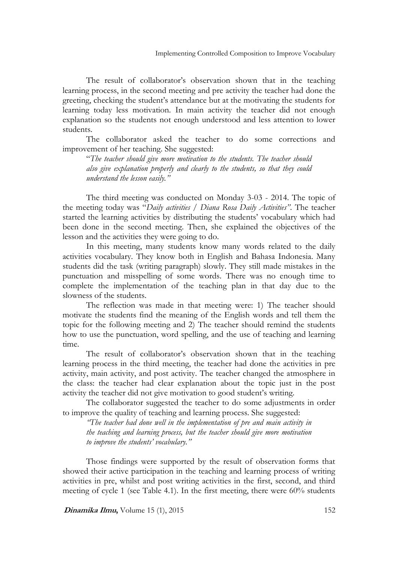The result of collaborator's observation shown that in the teaching learning process, in the second meeting and pre activity the teacher had done the greeting, checking the student's attendance but at the motivating the students for learning today less motivation. In main activity the teacher did not enough explanation so the students not enough understood and less attention to lower students.

The collaborator asked the teacher to do some corrections and improvement of her teaching. She suggested:

"*The teacher should give more motivation to the students. The teacher should also give explanation properly and clearly to the students, so that they could understand the lesson easily."*

The third meeting was conducted on Monday 3-03 - 2014. The topic of the meeting today was "*Daily activities / Diana Rosa Daily Activities"*. The teacher started the learning activities by distributing the students' vocabulary which had been done in the second meeting. Then, she explained the objectives of the lesson and the activities they were going to do.

In this meeting, many students know many words related to the daily activities vocabulary. They know both in English and Bahasa Indonesia. Many students did the task (writing paragraph) slowly. They still made mistakes in the punctuation and misspelling of some words. There was no enough time to complete the implementation of the teaching plan in that day due to the slowness of the students.

The reflection was made in that meeting were: 1) The teacher should motivate the students find the meaning of the English words and tell them the topic for the following meeting and 2) The teacher should remind the students how to use the punctuation, word spelling, and the use of teaching and learning time.

The result of collaborator's observation shown that in the teaching learning process in the third meeting, the teacher had done the activities in pre activity, main activity, and post activity. The teacher changed the atmosphere in the class: the teacher had clear explanation about the topic just in the post activity the teacher did not give motivation to good student's writing.

The collaborator suggested the teacher to do some adjustments in order to improve the quality of teaching and learning process. She suggested:

*"The teacher had done well in the implementation of pre and main activity in the teaching and learning process, but the teacher should give more motivation to improve the students' vocabulary."*

Those findings were supported by the result of observation forms that showed their active participation in the teaching and learning process of writing activities in pre, whilst and post writing activities in the first, second, and third meeting of cycle 1 (see Table 4.1). In the first meeting, there were 60% students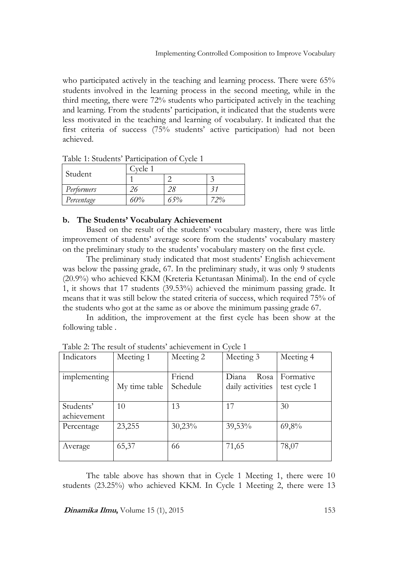who participated actively in the teaching and learning process. There were 65% students involved in the learning process in the second meeting, while in the third meeting, there were 72% students who participated actively in the teaching and learning. From the students' participation, it indicated that the students were less motivated in the teaching and learning of vocabulary. It indicated that the first criteria of success (75% students' active participation) had not been achieved.

| Table 1. buddelits I articipation of Gyele 1 |         |     |     |  |
|----------------------------------------------|---------|-----|-----|--|
| Student                                      | Cycle 1 |     |     |  |
|                                              |         |     |     |  |
| Performers                                   |         |     |     |  |
| Percentage                                   | 60%     | 65% | 72% |  |

Table 1: Students' Participation of Cycle 1

### **b. The Students' Vocabulary Achievement**

Based on the result of the students' vocabulary mastery, there was little improvement of students' average score from the students' vocabulary mastery on the preliminary study to the students' vocabulary mastery on the first cycle.

The preliminary study indicated that most students' English achievement was below the passing grade, 67. In the preliminary study, it was only 9 students (20.9%) who achieved KKM (Kreteria Ketuntasan Minimal). In the end of cycle 1, it shows that 17 students (39.53%) achieved the minimum passing grade. It means that it was still below the stated criteria of success, which required 75% of the students who got at the same as or above the minimum passing grade 67.

In addition, the improvement at the first cycle has been show at the following table .

| Indicators   | Meeting 1     | Meeting 2 | Meeting 3        | Meeting 4    |  |
|--------------|---------------|-----------|------------------|--------------|--|
|              |               |           |                  |              |  |
| implementing |               | Friend    | Rosa<br>Diana    | Formative    |  |
|              | My time table | Schedule  | daily activities | test cycle 1 |  |
|              |               |           |                  |              |  |
| Students'    | 10            | 13        | 17               | 30           |  |
| achievement  |               |           |                  |              |  |
| Percentage   | 23,255        | 30,23%    | 39,53%           | 69,8%        |  |
|              |               |           |                  |              |  |
| Average      | 65,37         | 66        | 71,65            | 78,07        |  |
|              |               |           |                  |              |  |

Table 2: The result of students' achievement in Cycle 1

The table above has shown that in Cycle 1 Meeting 1, there were 10 students (23.25%) who achieved KKM. In Cycle 1 Meeting 2, there were 13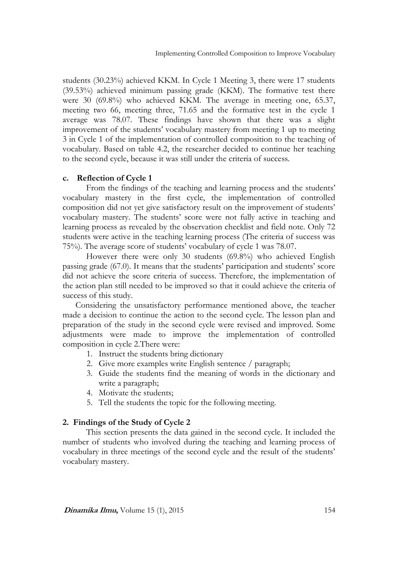students (30.23%) achieved KKM. In Cycle 1 Meeting 3, there were 17 students (39.53%) achieved minimum passing grade (KKM). The formative test there were 30 (69.8%) who achieved KKM. The average in meeting one, 65.37, meeting two 66, meeting three, 71.65 and the formative test in the cycle 1 average was 78.07. These findings have shown that there was a slight improvement of the students' vocabulary mastery from meeting 1 up to meeting 3 in Cycle 1 of the implementation of controlled composition to the teaching of vocabulary. Based on table 4.2, the researcher decided to continue her teaching to the second cycle, because it was still under the criteria of success.

### **c. Reflection of Cycle 1**

From the findings of the teaching and learning process and the students' vocabulary mastery in the first cycle, the implementation of controlled composition did not yet give satisfactory result on the improvement of students' vocabulary mastery. The students' score were not fully active in teaching and learning process as revealed by the observation checklist and field note. Only 72 students were active in the teaching learning process (The criteria of success was 75%). The average score of students' vocabulary of cycle 1 was 78.07.

However there were only 30 students (69.8%) who achieved English passing grade (67.0). It means that the students' participation and students' score did not achieve the score criteria of success. Therefore, the implementation of the action plan still needed to be improved so that it could achieve the criteria of success of this study.

 Considering the unsatisfactory performance mentioned above, the teacher made a decision to continue the action to the second cycle. The lesson plan and preparation of the study in the second cycle were revised and improved. Some adjustments were made to improve the implementation of controlled composition in cycle 2.There were:

- 1. Instruct the students bring dictionary
- 2. Give more examples write English sentence / paragraph;
- 3. Guide the students find the meaning of words in the dictionary and write a paragraph;
- 4. Motivate the students;
- 5. Tell the students the topic for the following meeting.

# **2. Findings of the Study of Cycle 2**

This section presents the data gained in the second cycle. It included the number of students who involved during the teaching and learning process of vocabulary in three meetings of the second cycle and the result of the students' vocabulary mastery.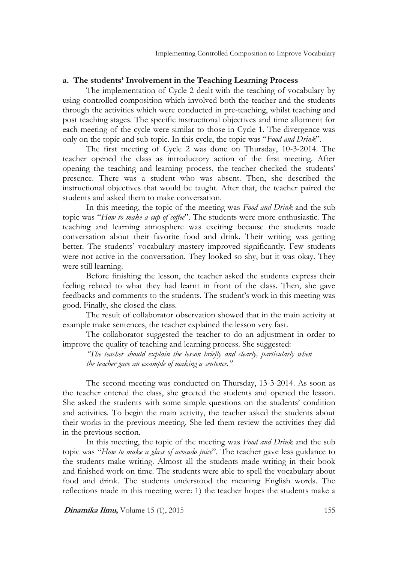## **a. The students' Involvement in the Teaching Learning Process**

The implementation of Cycle 2 dealt with the teaching of vocabulary by using controlled composition which involved both the teacher and the students through the activities which were conducted in pre-teaching, whilst teaching and post teaching stages. The specific instructional objectives and time allotment for each meeting of the cycle were similar to those in Cycle 1. The divergence was only on the topic and sub topic. In this cycle, the topic was "*Food and Drink*"*.*

The first meeting of Cycle 2 was done on Thursday, 10-3-2014. The teacher opened the class as introductory action of the first meeting. After opening the teaching and learning process, the teacher checked the students' presence. There was a student who was absent. Then, she described the instructional objectives that would be taught. After that, the teacher paired the students and asked them to make conversation.

In this meeting, the topic of the meeting was *Food and Drink* and the sub topic was "*How to make a cup of coffee*". The students were more enthusiastic. The teaching and learning atmosphere was exciting because the students made conversation about their favorite food and drink. Their writing was getting better. The students' vocabulary mastery improved significantly. Few students were not active in the conversation. They looked so shy, but it was okay. They were still learning.

Before finishing the lesson, the teacher asked the students express their feeling related to what they had learnt in front of the class. Then, she gave feedbacks and comments to the students. The student's work in this meeting was good. Finally, she closed the class.

The result of collaborator observation showed that in the main activity at example make sentences, the teacher explained the lesson very fast.

The collaborator suggested the teacher to do an adjustment in order to improve the quality of teaching and learning process. She suggested:

*"The teacher should explain the lesson briefly and clearly, particularly when the teacher gave an example of making a sentence."*

The second meeting was conducted on Thursday, 13-3-2014. As soon as the teacher entered the class, she greeted the students and opened the lesson. She asked the students with some simple questions on the students' condition and activities. To begin the main activity, the teacher asked the students about their works in the previous meeting. She led them review the activities they did in the previous section.

In this meeting, the topic of the meeting was *Food and Drink* and the sub topic was "*How to make a glass of avocado juice*". The teacher gave less guidance to the students make writing. Almost all the students made writing in their book and finished work on time. The students were able to spell the vocabulary about food and drink. The students understood the meaning English words. The reflections made in this meeting were: 1) the teacher hopes the students make a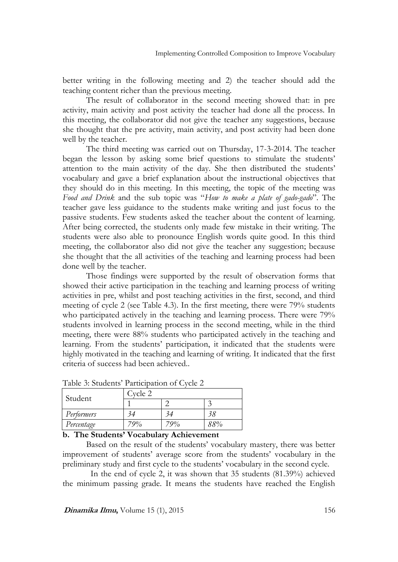better writing in the following meeting and 2) the teacher should add the teaching content richer than the previous meeting.

The result of collaborator in the second meeting showed that: in pre activity, main activity and post activity the teacher had done all the process. In this meeting, the collaborator did not give the teacher any suggestions, because she thought that the pre activity, main activity, and post activity had been done well by the teacher.

The third meeting was carried out on Thursday, 17-3-2014. The teacher began the lesson by asking some brief questions to stimulate the students' attention to the main activity of the day. She then distributed the students' vocabulary and gave a brief explanation about the instructional objectives that they should do in this meeting. In this meeting, the topic of the meeting was *Food and Drink* and the sub topic was "*How to make a plate of gado-gado*". The teacher gave less guidance to the students make writing and just focus to the passive students. Few students asked the teacher about the content of learning. After being corrected, the students only made few mistake in their writing. The students were also able to pronounce English words quite good. In this third meeting, the collaborator also did not give the teacher any suggestion; because she thought that the all activities of the teaching and learning process had been done well by the teacher.

Those findings were supported by the result of observation forms that showed their active participation in the teaching and learning process of writing activities in pre, whilst and post teaching activities in the first, second, and third meeting of cycle 2 (see Table 4.3). In the first meeting, there were 79% students who participated actively in the teaching and learning process. There were  $79\%$ students involved in learning process in the second meeting, while in the third meeting, there were 88% students who participated actively in the teaching and learning. From the students' participation, it indicated that the students were highly motivated in the teaching and learning of writing. It indicated that the first criteria of success had been achieved..

| Student    | Cycle 2 |     |     |  |
|------------|---------|-----|-----|--|
|            |         |     |     |  |
| Performers |         |     | 38  |  |
| Percentage | 70%     | 79% | 88% |  |

Table 3: Students' Participation of Cycle 2

#### **b. The Students' Vocabulary Achievement**

Based on the result of the students' vocabulary mastery, there was better improvement of students' average score from the students' vocabulary in the preliminary study and first cycle to the students' vocabulary in the second cycle.

 In the end of cycle 2, it was shown that 35 students (81.39%) achieved the minimum passing grade. It means the students have reached the English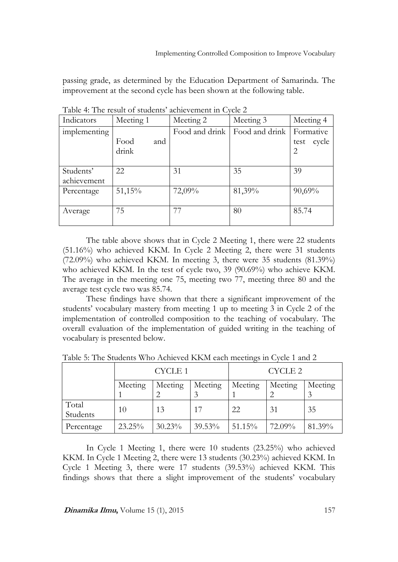passing grade, as determined by the Education Department of Samarinda. The improvement at the second cycle has been shown at the following table.

| Indicators               | Meeting 1            | Meeting 2      | Meeting 3      | Meeting 4                                    |
|--------------------------|----------------------|----------------|----------------|----------------------------------------------|
| implementing             | Food<br>and<br>drink | Food and drink | Food and drink | Formative<br>cycle<br>test<br>$\overline{2}$ |
| Students'<br>achievement | 22                   | 31             | 35             | 39                                           |
| Percentage               | 51,15%               | 72,09%         | 81,39%         | $90,69\%$                                    |
| Average                  | 75                   | 77             | 80             | 85.74                                        |

Table 4: The result of students' achievement in Cycle 2

The table above shows that in Cycle 2 Meeting 1, there were 22 students (51.16%) who achieved KKM. In Cycle 2 Meeting 2, there were 31 students (72.09%) who achieved KKM. In meeting 3, there were 35 students (81.39%) who achieved KKM. In the test of cycle two, 39 (90.69%) who achieve KKM. The average in the meeting one 75, meeting two 77, meeting three 80 and the average test cycle two was 85.74.

These findings have shown that there a significant improvement of the students' vocabulary mastery from meeting 1 up to meeting 3 in Cycle 2 of the implementation of controlled composition to the teaching of vocabulary. The overall evaluation of the implementation of guided writing in the teaching of vocabulary is presented below.

|                   | <b>CYCLE 1</b> |         | CYCLE 2   |         |         |         |
|-------------------|----------------|---------|-----------|---------|---------|---------|
|                   | Meeting        | Meeting | Meeting   | Meeting | Meeting | Meeting |
|                   |                |         |           |         |         |         |
| Total<br>Students | 10             | 13      | 17        | 22      | 31      | 35      |
| Percentage        | 23.25%         | 30.23%  | $39.53\%$ | 51.15%  | 72.09%  | 81.39%  |

Table 5: The Students Who Achieved KKM each meetings in Cycle 1 and 2

In Cycle 1 Meeting 1, there were 10 students (23.25%) who achieved KKM. In Cycle 1 Meeting 2, there were 13 students (30.23%) achieved KKM. In Cycle 1 Meeting 3, there were 17 students (39.53%) achieved KKM. This findings shows that there a slight improvement of the students' vocabulary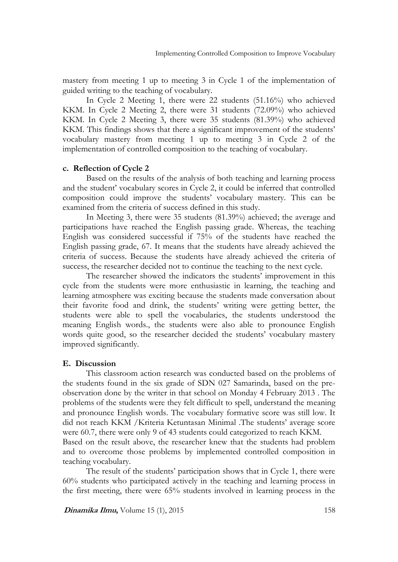mastery from meeting 1 up to meeting 3 in Cycle 1 of the implementation of guided writing to the teaching of vocabulary.

In Cycle 2 Meeting 1, there were 22 students (51.16%) who achieved KKM. In Cycle 2 Meeting 2, there were 31 students (72.09%) who achieved KKM. In Cycle 2 Meeting 3, there were 35 students (81.39%) who achieved KKM. This findings shows that there a significant improvement of the students' vocabulary mastery from meeting 1 up to meeting 3 in Cycle 2 of the implementation of controlled composition to the teaching of vocabulary.

#### **c. Reflection of Cycle 2**

Based on the results of the analysis of both teaching and learning process and the student' vocabulary scores in Cycle 2, it could be inferred that controlled composition could improve the students' vocabulary mastery. This can be examined from the criteria of success defined in this study.

In Meeting 3, there were 35 students (81.39%) achieved; the average and participations have reached the English passing grade. Whereas, the teaching English was considered successful if 75% of the students have reached the English passing grade, 67. It means that the students have already achieved the criteria of success. Because the students have already achieved the criteria of success, the researcher decided not to continue the teaching to the next cycle.

The researcher showed the indicators the students' improvement in this cycle from the students were more enthusiastic in learning, the teaching and learning atmosphere was exciting because the students made conversation about their favorite food and drink, the students' writing were getting better, the students were able to spell the vocabularies, the students understood the meaning English words., the students were also able to pronounce English words quite good, so the researcher decided the students' vocabulary mastery improved significantly.

#### **E. Discussion**

This classroom action research was conducted based on the problems of the students found in the six grade of SDN 027 Samarinda, based on the preobservation done by the writer in that school on Monday 4 February 2013 . The problems of the students were they felt difficult to spell, understand the meaning and pronounce English words. The vocabulary formative score was still low. It did not reach KKM /Kriteria Ketuntasan Minimal .The students' average score were 60.7, there were only 9 of 43 students could categorized to reach KKM. Based on the result above, the researcher knew that the students had problem and to overcome those problems by implemented controlled composition in

teaching vocabulary. The result of the students' participation shows that in Cycle 1, there were 60% students who participated actively in the teaching and learning process in the first meeting, there were 65% students involved in learning process in the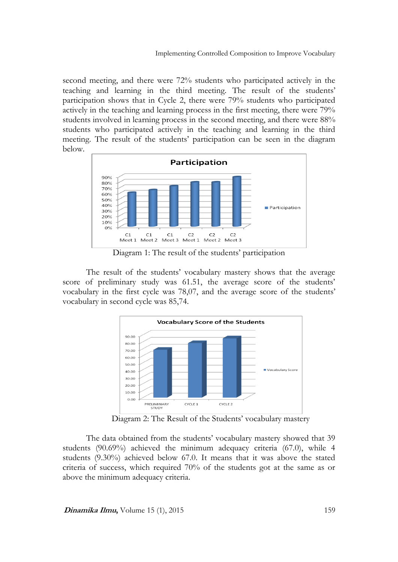second meeting, and there were 72% students who participated actively in the teaching and learning in the third meeting. The result of the students' participation shows that in Cycle 2, there were 79% students who participated actively in the teaching and learning process in the first meeting, there were 79% students involved in learning process in the second meeting, and there were 88% students who participated actively in the teaching and learning in the third meeting. The result of the students' participation can be seen in the diagram below.



Diagram 1: The result of the students' participation

The result of the students' vocabulary mastery shows that the average score of preliminary study was 61.51, the average score of the students' vocabulary in the first cycle was 78,07, and the average score of the students' vocabulary in second cycle was 85,74.



Diagram 2: The Result of the Students' vocabulary mastery

The data obtained from the students' vocabulary mastery showed that 39 students (90.69%) achieved the minimum adequacy criteria (67.0), while 4 students (9.30%) achieved below 67.0. It means that it was above the stated criteria of success, which required 70% of the students got at the same as or above the minimum adequacy criteria.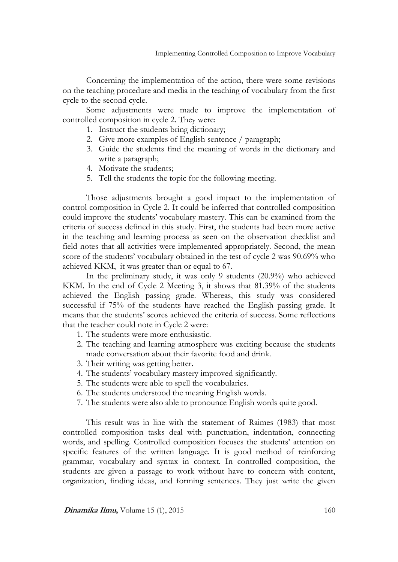Concerning the implementation of the action, there were some revisions on the teaching procedure and media in the teaching of vocabulary from the first cycle to the second cycle.

Some adjustments were made to improve the implementation of controlled composition in cycle 2. They were:

- 1. Instruct the students bring dictionary;
- 2. Give more examples of English sentence / paragraph;
- 3. Guide the students find the meaning of words in the dictionary and write a paragraph;
- 4. Motivate the students;
- 5. Tell the students the topic for the following meeting.

Those adjustments brought a good impact to the implementation of control composition in Cycle 2. It could be inferred that controlled composition could improve the students' vocabulary mastery. This can be examined from the criteria of success defined in this study. First, the students had been more active in the teaching and learning process as seen on the observation checklist and field notes that all activities were implemented appropriately. Second, the mean score of the students' vocabulary obtained in the test of cycle 2 was 90.69% who achieved KKM, it was greater than or equal to 67.

In the preliminary study, it was only 9 students (20.9%) who achieved KKM. In the end of Cycle 2 Meeting 3, it shows that 81.39% of the students achieved the English passing grade. Whereas, this study was considered successful if 75% of the students have reached the English passing grade. It means that the students' scores achieved the criteria of success. Some reflections that the teacher could note in Cycle 2 were:

- 1. The students were more enthusiastic.
- 2. The teaching and learning atmosphere was exciting because the students made conversation about their favorite food and drink.
- 3. Their writing was getting better.
- 4. The students' vocabulary mastery improved significantly.
- 5. The students were able to spell the vocabularies.
- 6. The students understood the meaning English words.
- 7. The students were also able to pronounce English words quite good.

This result was in line with the statement of Raimes (1983) that most controlled composition tasks deal with punctuation, indentation, connecting words, and spelling. Controlled composition focuses the students' attention on specific features of the written language. It is good method of reinforcing grammar, vocabulary and syntax in context. In controlled composition, the students are given a passage to work without have to concern with content, organization, finding ideas, and forming sentences. They just write the given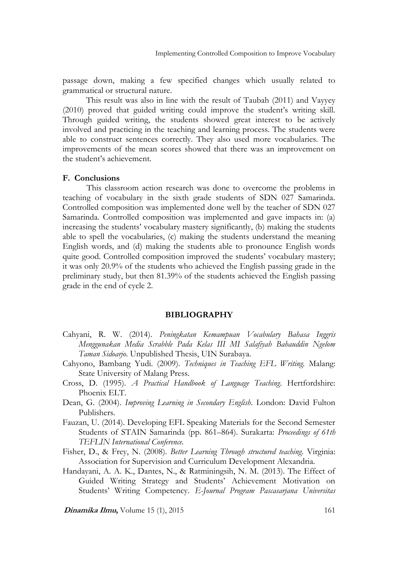passage down, making a few specified changes which usually related to grammatical or structural nature.

This result was also in line with the result of Taubah (2011) and Vayyey (2010) proved that guided writing could improve the student's writing skill. Through guided writing, the students showed great interest to be actively involved and practicing in the teaching and learning process. The students were able to construct sentences correctly. They also used more vocabularies. The improvements of the mean scores showed that there was an improvement on the student's achievement.

#### **F. Conclusions**

This classroom action research was done to overcome the problems in teaching of vocabulary in the sixth grade students of SDN 027 Samarinda. Controlled composition was implemented done well by the teacher of SDN 027 Samarinda. Controlled composition was implemented and gave impacts in: (a) increasing the students' vocabulary mastery significantly, (b) making the students able to spell the vocabularies, (c) making the students understand the meaning English words, and (d) making the students able to pronounce English words quite good. Controlled composition improved the students' vocabulary mastery; it was only 20.9% of the students who achieved the English passing grade in the preliminary study, but then 81.39% of the students achieved the English passing grade in the end of cycle 2.

#### **BIBLIOGRAPHY**

- Cahyani, R. W. (2014). *Peningkatan Kemampuan Vocabulary Bahasa Inggris Menggunakan Media Scrabble Pada Kelas III MI Salafiyah Bahauddin Ngelom Taman Sidoarjo*. Unpublished Thesis, UIN Surabaya.
- Cahyono, Bambang Yudi. (2009). *Techniques in Teaching EFL Writing.* Malang: State University of Malang Press.
- Cross, D. (1995). *A Practical Handbook of Language Teaching*. Hertfordshire: Phoenix ELT.
- Dean, G. (2004). *Improving Learning in Secondary English*. London: David Fulton Publishers.
- Fauzan, U. (2014). Developing EFL Speaking Materials for the Second Semester Students of STAIN Samarinda (pp. 861–864). Surakarta: *Proceedings of 61th TEFLIN International Conference.*
- Fisher, D., & Frey, N. (2008). *Better Learning Through structured teaching*. Virginia: Association for Supervision and Curriculum Development Alexandria.
- Handayani, A. A. K., Dantes, N., & Ratminingsih, N. M. (2013). The Effect of Guided Writing Strategy and Students' Achievement Motivation on Students' Writing Competency. *E-Journal Program Pascasarjana Universitas*